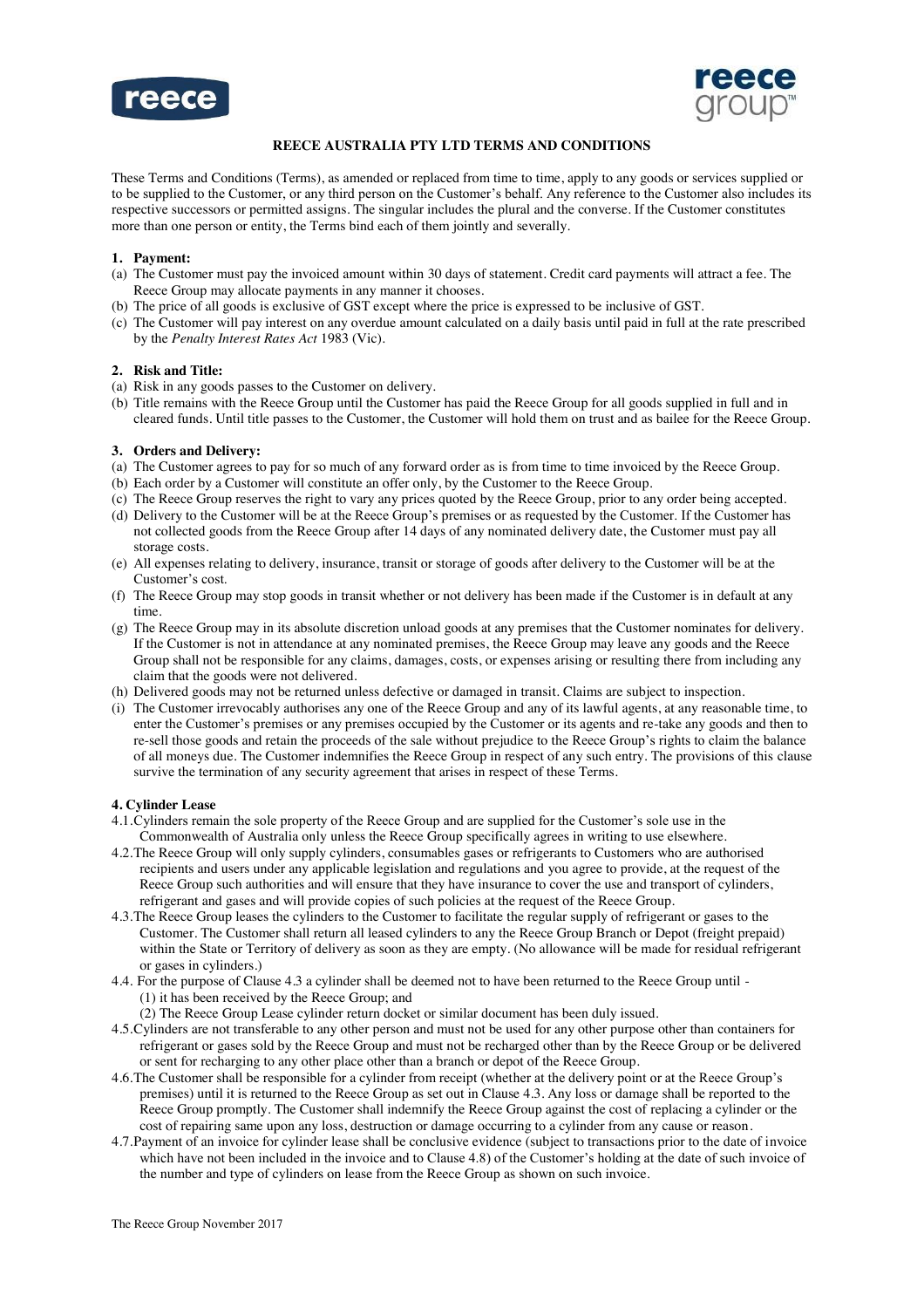



# **REECE AUSTRALIA PTY LTD TERMS AND CONDITIONS**

These Terms and Conditions (Terms), as amended or replaced from time to time, apply to any goods or services supplied or to be supplied to the Customer, or any third person on the Customer's behalf. Any reference to the Customer also includes its respective successors or permitted assigns. The singular includes the plural and the converse. If the Customer constitutes more than one person or entity, the Terms bind each of them jointly and severally.

### **1. Payment:**

- (a) The Customer must pay the invoiced amount within 30 days of statement. Credit card payments will attract a fee. The Reece Group may allocate payments in any manner it chooses.
- (b) The price of all goods is exclusive of GST except where the price is expressed to be inclusive of GST.
- (c) The Customer will pay interest on any overdue amount calculated on a daily basis until paid in full at the rate prescribed by the *Penalty Interest Rates Act* 1983 (Vic).

### **2. Risk and Title:**

- (a) Risk in any goods passes to the Customer on delivery.
- (b) Title remains with the Reece Group until the Customer has paid the Reece Group for all goods supplied in full and in cleared funds. Until title passes to the Customer, the Customer will hold them on trust and as bailee for the Reece Group.

#### **3. Orders and Delivery:**

- (a) The Customer agrees to pay for so much of any forward order as is from time to time invoiced by the Reece Group.
- (b) Each order by a Customer will constitute an offer only, by the Customer to the Reece Group.
- (c) The Reece Group reserves the right to vary any prices quoted by the Reece Group, prior to any order being accepted.
- (d) Delivery to the Customer will be at the Reece Group's premises or as requested by the Customer. If the Customer has not collected goods from the Reece Group after 14 days of any nominated delivery date, the Customer must pay all storage costs.
- (e) All expenses relating to delivery, insurance, transit or storage of goods after delivery to the Customer will be at the Customer's cost.
- (f) The Reece Group may stop goods in transit whether or not delivery has been made if the Customer is in default at any time.
- (g) The Reece Group may in its absolute discretion unload goods at any premises that the Customer nominates for delivery. If the Customer is not in attendance at any nominated premises, the Reece Group may leave any goods and the Reece Group shall not be responsible for any claims, damages, costs, or expenses arising or resulting there from including any claim that the goods were not delivered.
- (h) Delivered goods may not be returned unless defective or damaged in transit. Claims are subject to inspection.
- (i) The Customer irrevocably authorises any one of the Reece Group and any of its lawful agents, at any reasonable time, to enter the Customer's premises or any premises occupied by the Customer or its agents and re-take any goods and then to re-sell those goods and retain the proceeds of the sale without prejudice to the Reece Group's rights to claim the balance of all moneys due. The Customer indemnifies the Reece Group in respect of any such entry. The provisions of this clause survive the termination of any security agreement that arises in respect of these Terms.

### **4. Cylinder Lease**

- 4.1.Cylinders remain the sole property of the Reece Group and are supplied for the Customer's sole use in the Commonwealth of Australia only unless the Reece Group specifically agrees in writing to use elsewhere.
- 4.2.The Reece Group will only supply cylinders, consumables gases or refrigerants to Customers who are authorised recipients and users under any applicable legislation and regulations and you agree to provide, at the request of the Reece Group such authorities and will ensure that they have insurance to cover the use and transport of cylinders, refrigerant and gases and will provide copies of such policies at the request of the Reece Group.
- 4.3.The Reece Group leases the cylinders to the Customer to facilitate the regular supply of refrigerant or gases to the Customer. The Customer shall return all leased cylinders to any the Reece Group Branch or Depot (freight prepaid) within the State or Territory of delivery as soon as they are empty. (No allowance will be made for residual refrigerant or gases in cylinders.)
- 4.4. For the purpose of Clause 4.3 a cylinder shall be deemed not to have been returned to the Reece Group until (1) it has been received by the Reece Group; and
	- (2) The Reece Group Lease cylinder return docket or similar document has been duly issued.
- 4.5.Cylinders are not transferable to any other person and must not be used for any other purpose other than containers for refrigerant or gases sold by the Reece Group and must not be recharged other than by the Reece Group or be delivered or sent for recharging to any other place other than a branch or depot of the Reece Group.
- 4.6.The Customer shall be responsible for a cylinder from receipt (whether at the delivery point or at the Reece Group's premises) until it is returned to the Reece Group as set out in Clause 4.3. Any loss or damage shall be reported to the Reece Group promptly. The Customer shall indemnify the Reece Group against the cost of replacing a cylinder or the cost of repairing same upon any loss, destruction or damage occurring to a cylinder from any cause or reason.
- 4.7.Payment of an invoice for cylinder lease shall be conclusive evidence (subject to transactions prior to the date of invoice which have not been included in the invoice and to Clause 4.8) of the Customer's holding at the date of such invoice of the number and type of cylinders on lease from the Reece Group as shown on such invoice.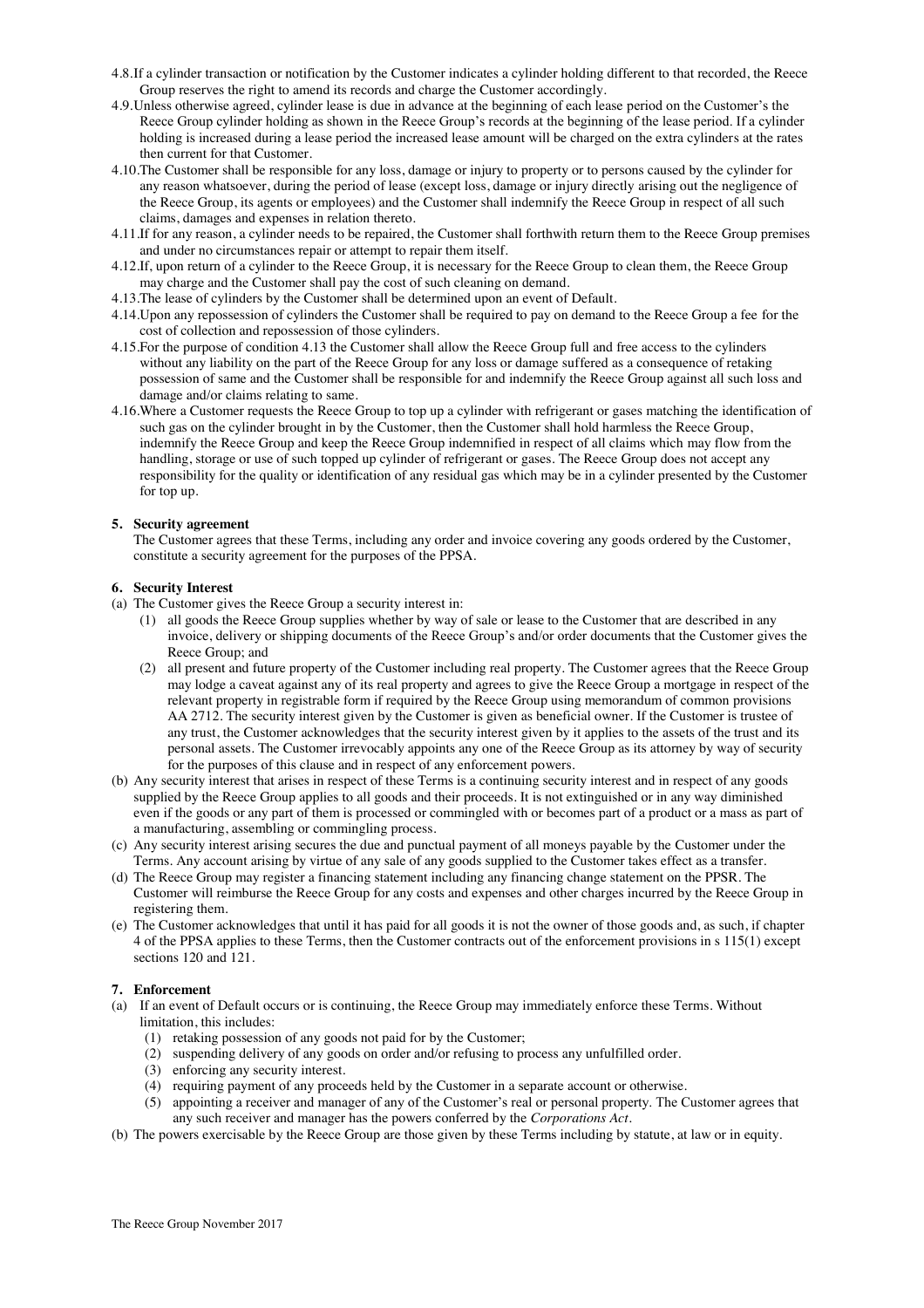- 4.8.If a cylinder transaction or notification by the Customer indicates a cylinder holding different to that recorded, the Reece Group reserves the right to amend its records and charge the Customer accordingly.
- 4.9.Unless otherwise agreed, cylinder lease is due in advance at the beginning of each lease period on the Customer's the Reece Group cylinder holding as shown in the Reece Group's records at the beginning of the lease period. If a cylinder holding is increased during a lease period the increased lease amount will be charged on the extra cylinders at the rates then current for that Customer.
- 4.10.The Customer shall be responsible for any loss, damage or injury to property or to persons caused by the cylinder for any reason whatsoever, during the period of lease (except loss, damage or injury directly arising out the negligence of the Reece Group, its agents or employees) and the Customer shall indemnify the Reece Group in respect of all such claims, damages and expenses in relation thereto.
- 4.11.If for any reason, a cylinder needs to be repaired, the Customer shall forthwith return them to the Reece Group premises and under no circumstances repair or attempt to repair them itself.
- 4.12.If, upon return of a cylinder to the Reece Group, it is necessary for the Reece Group to clean them, the Reece Group may charge and the Customer shall pay the cost of such cleaning on demand.
- 4.13.The lease of cylinders by the Customer shall be determined upon an event of Default.
- 4.14.Upon any repossession of cylinders the Customer shall be required to pay on demand to the Reece Group a fee for the cost of collection and repossession of those cylinders.
- 4.15.For the purpose of condition 4.13 the Customer shall allow the Reece Group full and free access to the cylinders without any liability on the part of the Reece Group for any loss or damage suffered as a consequence of retaking possession of same and the Customer shall be responsible for and indemnify the Reece Group against all such loss and damage and/or claims relating to same.
- 4.16.Where a Customer requests the Reece Group to top up a cylinder with refrigerant or gases matching the identification of such gas on the cylinder brought in by the Customer, then the Customer shall hold harmless the Reece Group, indemnify the Reece Group and keep the Reece Group indemnified in respect of all claims which may flow from the handling, storage or use of such topped up cylinder of refrigerant or gases. The Reece Group does not accept any responsibility for the quality or identification of any residual gas which may be in a cylinder presented by the Customer for top up.

# **5. Security agreement**

The Customer agrees that these Terms, including any order and invoice covering any goods ordered by the Customer, constitute a security agreement for the purposes of the PPSA.

### **6. Security Interest**

- (a) The Customer gives the Reece Group a security interest in:
	- (1) all goods the Reece Group supplies whether by way of sale or lease to the Customer that are described in any invoice, delivery or shipping documents of the Reece Group's and/or order documents that the Customer gives the Reece Group; and
	- (2) all present and future property of the Customer including real property. The Customer agrees that the Reece Group may lodge a caveat against any of its real property and agrees to give the Reece Group a mortgage in respect of the relevant property in registrable form if required by the Reece Group using memorandum of common provisions AA 2712. The security interest given by the Customer is given as beneficial owner. If the Customer is trustee of any trust, the Customer acknowledges that the security interest given by it applies to the assets of the trust and its personal assets. The Customer irrevocably appoints any one of the Reece Group as its attorney by way of security for the purposes of this clause and in respect of any enforcement powers.
- (b) Any security interest that arises in respect of these Terms is a continuing security interest and in respect of any goods supplied by the Reece Group applies to all goods and their proceeds. It is not extinguished or in any way diminished even if the goods or any part of them is processed or commingled with or becomes part of a product or a mass as part of a manufacturing, assembling or commingling process.
- (c) Any security interest arising secures the due and punctual payment of all moneys payable by the Customer under the Terms. Any account arising by virtue of any sale of any goods supplied to the Customer takes effect as a transfer.
- (d) The Reece Group may register a financing statement including any financing change statement on the PPSR. The Customer will reimburse the Reece Group for any costs and expenses and other charges incurred by the Reece Group in registering them.
- (e) The Customer acknowledges that until it has paid for all goods it is not the owner of those goods and, as such, if chapter 4 of the PPSA applies to these Terms, then the Customer contracts out of the enforcement provisions in s 115(1) except sections 120 and 121.

# **7. Enforcement**

- (a) If an event of Default occurs or is continuing, the Reece Group may immediately enforce these Terms. Without limitation, this includes:
	- (1) retaking possession of any goods not paid for by the Customer;
	- (2) suspending delivery of any goods on order and/or refusing to process any unfulfilled order.
	- (3) enforcing any security interest.
	- (4) requiring payment of any proceeds held by the Customer in a separate account or otherwise.
	- (5) appointing a receiver and manager of any of the Customer's real or personal property. The Customer agrees that any such receiver and manager has the powers conferred by the *Corporations Act*.
- (b) The powers exercisable by the Reece Group are those given by these Terms including by statute, at law or in equity.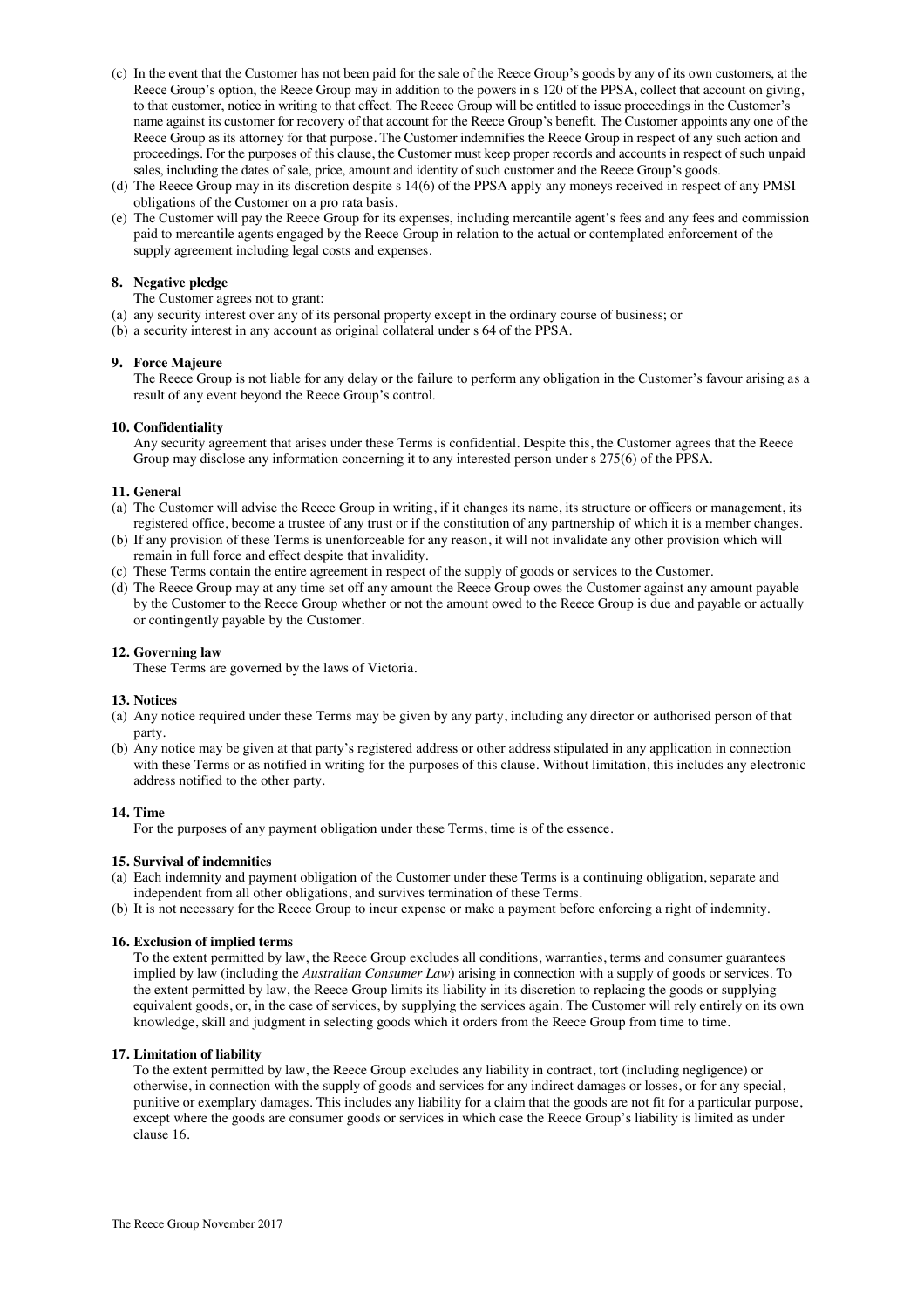- (c) In the event that the Customer has not been paid for the sale of the Reece Group's goods by any of its own customers, at the Reece Group's option, the Reece Group may in addition to the powers in s 120 of the PPSA, collect that account on giving, to that customer, notice in writing to that effect. The Reece Group will be entitled to issue proceedings in the Customer's name against its customer for recovery of that account for the Reece Group's benefit. The Customer appoints any one of the Reece Group as its attorney for that purpose. The Customer indemnifies the Reece Group in respect of any such action and proceedings. For the purposes of this clause, the Customer must keep proper records and accounts in respect of such unpaid sales, including the dates of sale, price, amount and identity of such customer and the Reece Group's goods.
- (d) The Reece Group may in its discretion despite s 14(6) of the PPSA apply any moneys received in respect of any PMSI obligations of the Customer on a pro rata basis.
- (e) The Customer will pay the Reece Group for its expenses, including mercantile agent's fees and any fees and commission paid to mercantile agents engaged by the Reece Group in relation to the actual or contemplated enforcement of the supply agreement including legal costs and expenses.

# **8. Negative pledge**

The Customer agrees not to grant:

- (a) any security interest over any of its personal property except in the ordinary course of business; or
- (b) a security interest in any account as original collateral under s 64 of the PPSA.

# **9. Force Majeure**

The Reece Group is not liable for any delay or the failure to perform any obligation in the Customer's favour arising as a result of any event beyond the Reece Group's control.

### **10. Confidentiality**

Any security agreement that arises under these Terms is confidential. Despite this, the Customer agrees that the Reece Group may disclose any information concerning it to any interested person under s 275(6) of the PPSA.

### **11. General**

- (a) The Customer will advise the Reece Group in writing, if it changes its name, its structure or officers or management, its registered office, become a trustee of any trust or if the constitution of any partnership of which it is a member changes.
- (b) If any provision of these Terms is unenforceable for any reason, it will not invalidate any other provision which will remain in full force and effect despite that invalidity.
- (c) These Terms contain the entire agreement in respect of the supply of goods or services to the Customer.
- (d) The Reece Group may at any time set off any amount the Reece Group owes the Customer against any amount payable by the Customer to the Reece Group whether or not the amount owed to the Reece Group is due and payable or actually or contingently payable by the Customer.

### **12. Governing law**

These Terms are governed by the laws of Victoria.

# **13. Notices**

- (a) Any notice required under these Terms may be given by any party, including any director or authorised person of that party.
- (b) Any notice may be given at that party's registered address or other address stipulated in any application in connection with these Terms or as notified in writing for the purposes of this clause. Without limitation, this includes any electronic address notified to the other party.

### **14. Time**

For the purposes of any payment obligation under these Terms, time is of the essence.

# **15. Survival of indemnities**

- (a) Each indemnity and payment obligation of the Customer under these Terms is a continuing obligation, separate and independent from all other obligations, and survives termination of these Terms.
- (b) It is not necessary for the Reece Group to incur expense or make a payment before enforcing a right of indemnity.

### **16. Exclusion of implied terms**

To the extent permitted by law, the Reece Group excludes all conditions, warranties, terms and consumer guarantees implied by law (including the *Australian Consumer Law*) arising in connection with a supply of goods or services. To the extent permitted by law, the Reece Group limits its liability in its discretion to replacing the goods or supplying equivalent goods, or, in the case of services, by supplying the services again. The Customer will rely entirely on its own knowledge, skill and judgment in selecting goods which it orders from the Reece Group from time to time.

### **17. Limitation of liability**

To the extent permitted by law, the Reece Group excludes any liability in contract, tort (including negligence) or otherwise, in connection with the supply of goods and services for any indirect damages or losses, or for any special, punitive or exemplary damages. This includes any liability for a claim that the goods are not fit for a particular purpose, except where the goods are consumer goods or services in which case the Reece Group's liability is limited as under clause 16.